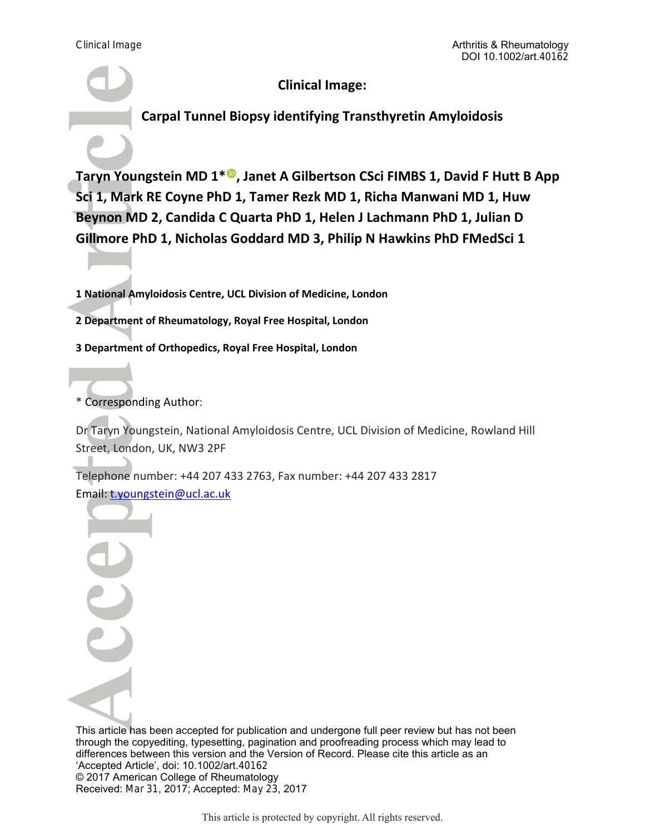**Clinical Image:** 

**Carpal Tunnel Biopsy identifying Transthyretin Amyloidosis** 

Taryn Youngstein MD 1<sup>\* ®</sup>[,](http://orcid.org/0000-0002-8297-556X) Janet A Gilbertson CSci FIMBS 1, David F Hutt B App **Sci 1, Mark RE Coyne PhD 1, Tamer Rezk MD 1, Richa Manwani MD 1, Huw Beynon MD 2, Candida C Quarta PhD 1, Helen J Lachmann PhD 1, Julian D Gillmore PhD 1, Nicholas Goddard MD 3, Philip N Hawkins PhD FMedSci 1** 

**1 National Amyloidosis Centre, UCL Division of Medicine, London** 

**2 Department of Rheumatology, Royal Free Hospital, London** 

**3 Department of Orthopedics, Royal Free Hospital, London** 

\* Corresponding Author:

Dr Taryn Youngstein, National Amyloidosis Centre, UCL Division of Medicine, Rowland Hill Street, London, UK, NW3 2PF

Telephone number: +44 207 433 2763, Fax number: +44 207 433 2817 Email: t.youngstein@ucl.ac.uk

This article has been accepted for publication and undergone full peer review but has not been through the copyediting, typesetting, pagination and proofreading process which may lead to differences between this version and the Version of Record. Please cite this article as an 'Accepted Article', doi: 10.1002/art.40162 © 2017 American College of Rheumatology Received: Mar 31, 2017; Accepted: May 23, 2017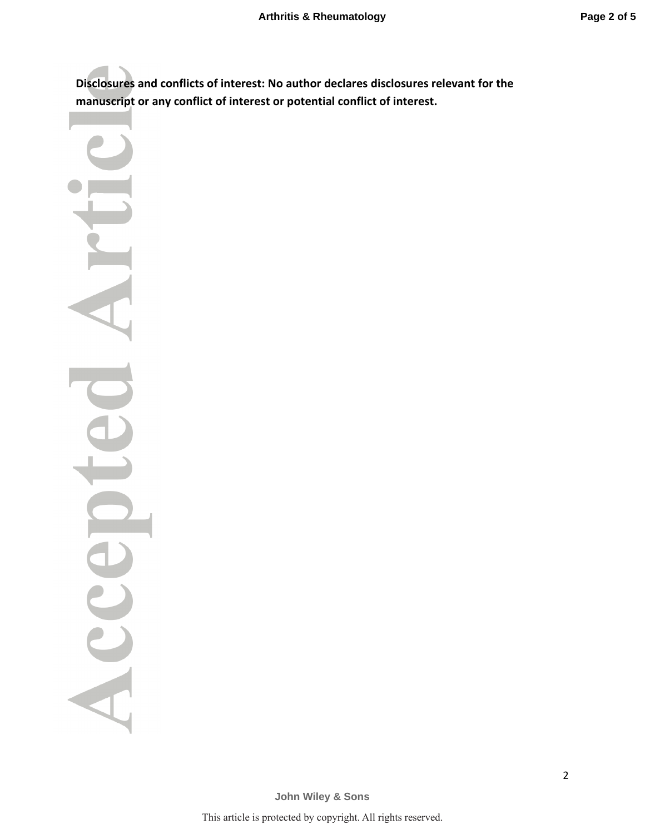**Disclosures and conflicts of interest: No author declares disclosures relevant for the manuscript or any conflict of interest or potential conflict of interest.** 

Acce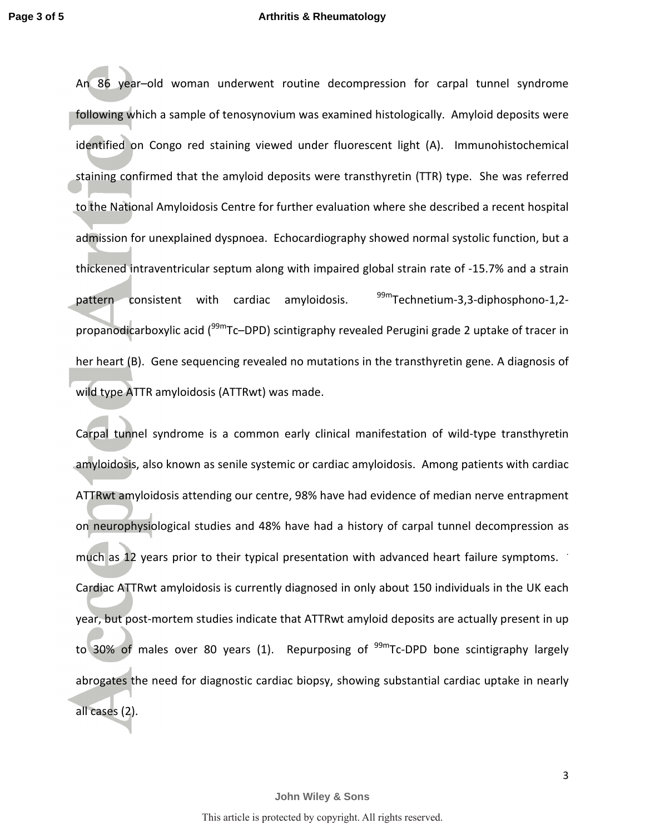An 86 year–old woman underwent routine decompression for carpal tunnel syndrome following which a sample of tenosynovium was examined histologically. Amyloid deposits were identified on Congo red staining viewed under fluorescent light (A). Immunohistochemical staining confirmed that the amyloid deposits were transthyretin (TTR) type. She was referred to the National Amyloidosis Centre for further evaluation where she described a recent hospital admission for unexplained dyspnoea. Echocardiography showed normal systolic function, but a thickened intraventricular septum along with impaired global strain rate of -15.7% and a strain pattern consistent with cardiac amyloidosis. <sup>99m</sup>Technetium-3,3-diphosphono-1,2propanodicarboxylic acid (<sup>99m</sup>Tc–DPD) scintigraphy revealed Perugini grade 2 uptake of tracer in her heart (B). Gene sequencing revealed no mutations in the transthyretin gene. A diagnosis of wild type ATTR amyloidosis (ATTRwt) was made.

Carpal tunnel syndrome is a common early clinical manifestation of wild-type transthyretin amyloidosis, also known as senile systemic or cardiac amyloidosis. Among patients with cardiac ATTRwt amyloidosis attending our centre, 98% have had evidence of median nerve entrapment on neurophysiological studies and 48% have had a history of carpal tunnel decompression as much as 12 years prior to their typical presentation with advanced heart failure symptoms. Cardiac ATTRwt amyloidosis is currently diagnosed in only about 150 individuals in the UK each year, but post-mortem studies indicate that ATTRwt amyloid deposits are actually present in up to 30% of males over 80 years (1). Repurposing of  $^{99m}$ Tc-DPD bone scintigraphy largely abrogates the need for diagnostic cardiac biopsy, showing substantial cardiac uptake in nearly all cases (2).

3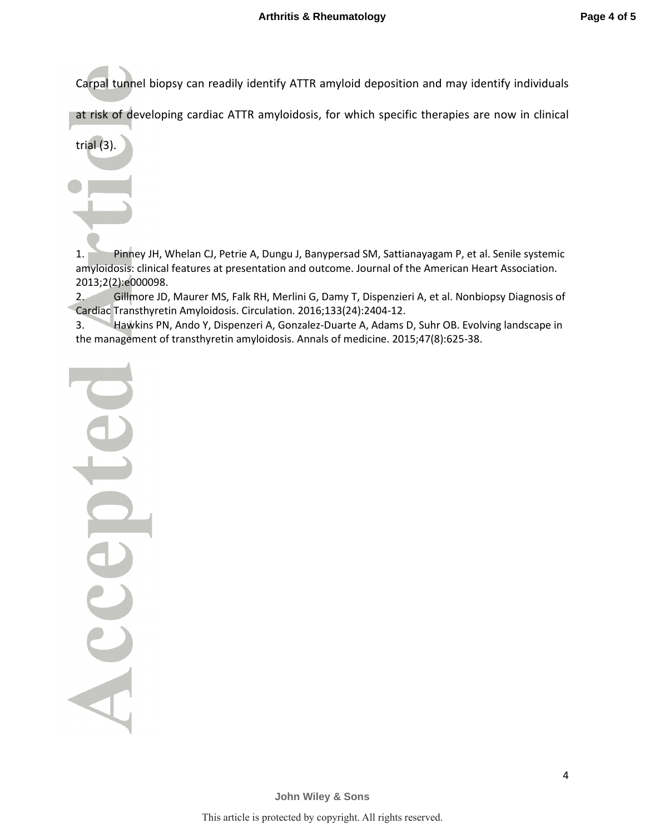Carpal tunnel biopsy can readily identify ATTR amyloid deposition and may identify individuals

at risk of developing cardiac ATTR amyloidosis, for which specific therapies are now in clinical

trial (3).

1. Pinney JH, Whelan CJ, Petrie A, Dungu J, Banypersad SM, Sattianayagam P, et al. Senile systemic amyloidosis: clinical features at presentation and outcome. Journal of the American Heart Association. 2013;2(2):e000098.

2. Gillmore JD, Maurer MS, Falk RH, Merlini G, Damy T, Dispenzieri A, et al. Nonbiopsy Diagnosis of Cardiac Transthyretin Amyloidosis. Circulation. 2016;133(24):2404-12.

3. Hawkins PN, Ando Y, Dispenzeri A, Gonzalez-Duarte A, Adams D, Suhr OB. Evolving landscape in the management of transthyretin amyloidosis. Annals of medicine. 2015;47(8):625-38.

Accel